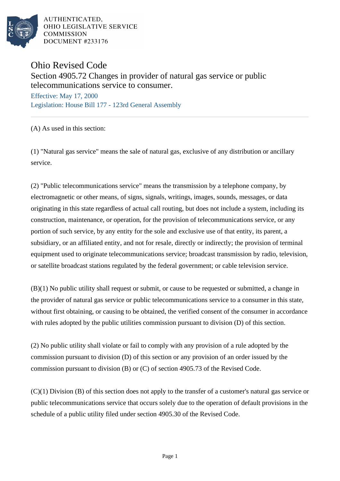

AUTHENTICATED. OHIO LEGISLATIVE SERVICE COMMISSION DOCUMENT #233176

## Ohio Revised Code

Section 4905.72 Changes in provider of natural gas service or public telecommunications service to consumer.

Effective: May 17, 2000 Legislation: House Bill 177 - 123rd General Assembly

(A) As used in this section:

(1) "Natural gas service" means the sale of natural gas, exclusive of any distribution or ancillary service.

(2) "Public telecommunications service" means the transmission by a telephone company, by electromagnetic or other means, of signs, signals, writings, images, sounds, messages, or data originating in this state regardless of actual call routing, but does not include a system, including its construction, maintenance, or operation, for the provision of telecommunications service, or any portion of such service, by any entity for the sole and exclusive use of that entity, its parent, a subsidiary, or an affiliated entity, and not for resale, directly or indirectly; the provision of terminal equipment used to originate telecommunications service; broadcast transmission by radio, television, or satellite broadcast stations regulated by the federal government; or cable television service.

(B)(1) No public utility shall request or submit, or cause to be requested or submitted, a change in the provider of natural gas service or public telecommunications service to a consumer in this state, without first obtaining, or causing to be obtained, the verified consent of the consumer in accordance with rules adopted by the public utilities commission pursuant to division (D) of this section.

(2) No public utility shall violate or fail to comply with any provision of a rule adopted by the commission pursuant to division (D) of this section or any provision of an order issued by the commission pursuant to division (B) or (C) of section 4905.73 of the Revised Code.

(C)(1) Division (B) of this section does not apply to the transfer of a customer's natural gas service or public telecommunications service that occurs solely due to the operation of default provisions in the schedule of a public utility filed under section 4905.30 of the Revised Code.